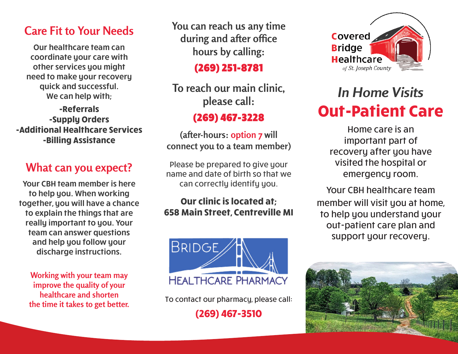### **Care Fit to Your Needs**

Our healthcare team can coordinate your care with other services you might need to make your recovery quick and successful. We can help with;

**-Referrals -Supply Orders -Additional Healthcare Services -Billing Assistance**

## **What can you expect?**

Your CBH team member is here to help you. When working together, you will have a chance to explain the things that are really important to you. Your team can answer questions and help you follow your discharge instructions.

**Working with your team may improve the quality of your healthcare and shorten the time it takes to get better.** **You can reach us any time during and after office hours by calling:**

(269) 251-8781

**To reach our main clinic, please call:**

### (269) 467-3228

**(after-hours: option 7 will connect you to a team member)**

Please be prepared to give your name and date of birth so that we can correctly identify you.

#### **Our clinic is located at; 658 Main Street, Centreville MI**



To contact our pharmacy, please call:

**(269) 467-3510**



# *In Home Visits* **Out-Patient Care**

Home care is an important part of recovery after you have visited the hospital or emergency room.

Your CBH healthcare team member will visit you at home, to help you understand your out-patient care plan and support your recovery.